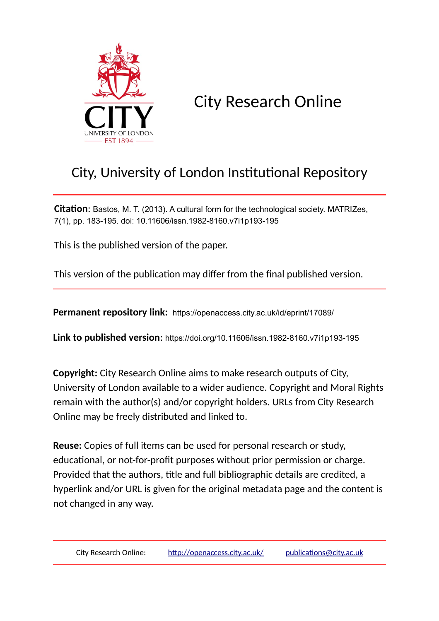

City Research Online

#### City, University of London Institutional Repository

**Citation**: Bastos, M. T. (2013). A cultural form for the technological society. MATRIZes, 7(1), pp. 183-195. doi: 10.11606/issn.1982-8160.v7i1p193-195

This is the published version of the paper.

This version of the publication may differ from the final published version.

**Permanent repository link:** https://openaccess.city.ac.uk/id/eprint/17089/

**Link to published version**: https://doi.org/10.11606/issn.1982-8160.v7i1p193-195

**Copyright:** City Research Online aims to make research outputs of City, University of London available to a wider audience. Copyright and Moral Rights remain with the author(s) and/or copyright holders. URLs from City Research Online may be freely distributed and linked to.

**Reuse:** Copies of full items can be used for personal research or study, educational, or not-for-profit purposes without prior permission or charge. Provided that the authors, title and full bibliographic details are credited, a hyperlink and/or URL is given for the original metadata page and the content is not changed in any way.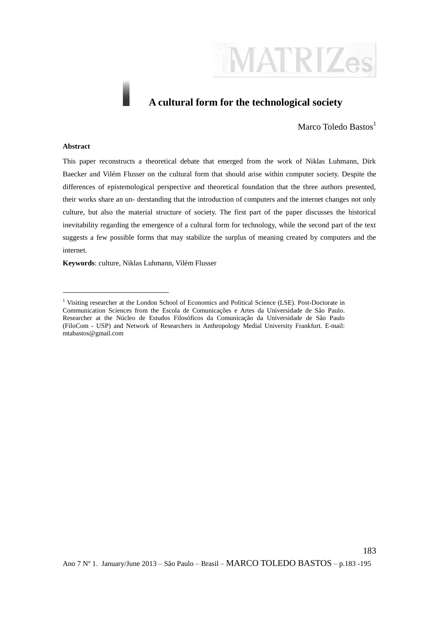#### **A cultural form for the technological society**

Marco Toledo Bastos<sup>1</sup>

183

#### **Abstract**

<u>.</u>

This paper reconstructs a theoretical debate that emerged from the work of Niklas Luhmann, Dirk Baecker and Vilém Flusser on the cultural form that should arise within computer society. Despite the differences of epistemological perspective and theoretical foundation that the three authors presented, their works share an un- derstanding that the introduction of computers and the internet changes not only culture, but also the material structure of society. The first part of the paper discusses the historical inevitability regarding the emergence of a cultural form for technology, while the second part of the text suggests a few possible forms that may stabilize the surplus of meaning created by computers and the internet.

**Keywords**: culture, Niklas Luhmann, Vilém Flusser

<sup>&</sup>lt;sup>1</sup> Visiting researcher at the London School of Economics and Political Science (LSE). Post-Doctorate in Communication Sciences from the Escola de Comunicações e Artes da Universidade de São Paulo. Researcher at the Núcleo de Estudos Filosóficos da Comunicação da Universidade de São Paulo (FiloCom - USP) and Network of Researchers in Anthropology Medial University Frankfurt. E-mail: mtabastos@gmail.com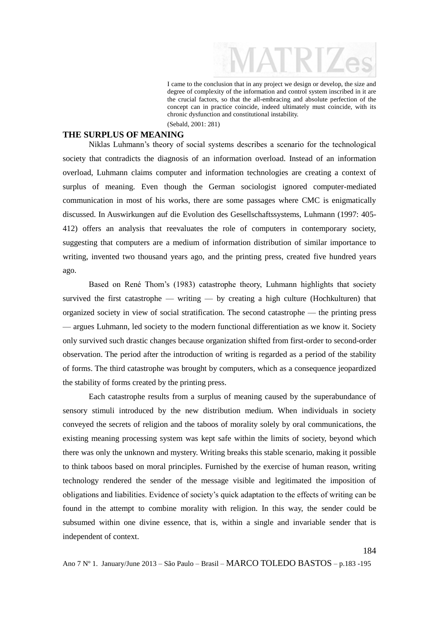I came to the conclusion that in any project we design or develop, the size and degree of complexity of the information and control system inscribed in it are the crucial factors, so that the all-embracing and absolute perfection of the concept can in practice coincide, indeed ultimately must coincide, with its chronic dysfunction and constitutional instability.

(Sebald, 2001: 281)

#### **THE SURPLUS OF MEANING**

Niklas Luhmann's theory of social systems describes a scenario for the technological society that contradicts the diagnosis of an information overload. Instead of an information overload, Luhmann claims computer and information technologies are creating a context of surplus of meaning. Even though the German sociologist ignored computer-mediated communication in most of his works, there are some passages where CMC is enigmatically discussed. In Auswirkungen auf die Evolution des Gesellschaftssystems, Luhmann (1997: 405- 412) offers an analysis that reevaluates the role of computers in contemporary society, suggesting that computers are a medium of information distribution of similar importance to writing, invented two thousand years ago, and the printing press, created five hundred years ago.

Based on René Thom's (1983) catastrophe theory, Luhmann highlights that society survived the first catastrophe — writing — by creating a high culture (Hochkulturen) that organized society in view of social stratification. The second catastrophe — the printing press — argues Luhmann, led society to the modern functional differentiation as we know it. Society only survived such drastic changes because organization shifted from first-order to second-order observation. The period after the introduction of writing is regarded as a period of the stability of forms. The third catastrophe was brought by computers, which as a consequence jeopardized the stability of forms created by the printing press.

Each catastrophe results from a surplus of meaning caused by the superabundance of sensory stimuli introduced by the new distribution medium. When individuals in society conveyed the secrets of religion and the taboos of morality solely by oral communications, the existing meaning processing system was kept safe within the limits of society, beyond which there was only the unknown and mystery. Writing breaks this stable scenario, making it possible to think taboos based on moral principles. Furnished by the exercise of human reason, writing technology rendered the sender of the message visible and legitimated the imposition of obligations and liabilities. Evidence of society's quick adaptation to the effects of writing can be found in the attempt to combine morality with religion. In this way, the sender could be subsumed within one divine essence, that is, within a single and invariable sender that is independent of context.

184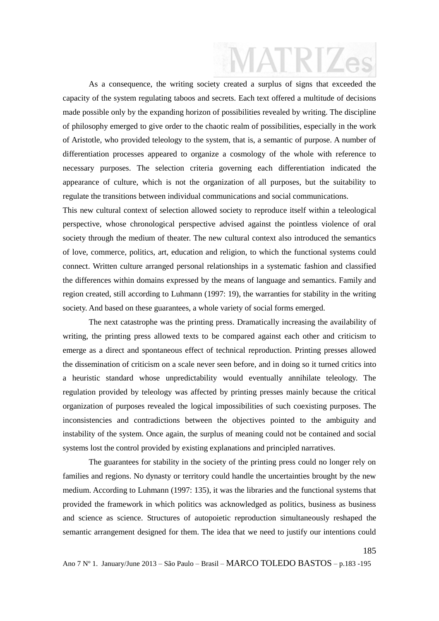As a consequence, the writing society created a surplus of signs that exceeded the capacity of the system regulating taboos and secrets. Each text offered a multitude of decisions made possible only by the expanding horizon of possibilities revealed by writing. The discipline of philosophy emerged to give order to the chaotic realm of possibilities, especially in the work of Aristotle, who provided teleology to the system, that is, a semantic of purpose. A number of differentiation processes appeared to organize a cosmology of the whole with reference to necessary purposes. The selection criteria governing each differentiation indicated the appearance of culture, which is not the organization of all purposes, but the suitability to regulate the transitions between individual communications and social communications.

This new cultural context of selection allowed society to reproduce itself within a teleological perspective, whose chronological perspective advised against the pointless violence of oral society through the medium of theater. The new cultural context also introduced the semantics of love, commerce, politics, art, education and religion, to which the functional systems could connect. Written culture arranged personal relationships in a systematic fashion and classified the differences within domains expressed by the means of language and semantics. Family and region created, still according to Luhmann (1997: 19), the warranties for stability in the writing society. And based on these guarantees, a whole variety of social forms emerged.

The next catastrophe was the printing press. Dramatically increasing the availability of writing, the printing press allowed texts to be compared against each other and criticism to emerge as a direct and spontaneous effect of technical reproduction. Printing presses allowed the dissemination of criticism on a scale never seen before, and in doing so it turned critics into a heuristic standard whose unpredictability would eventually annihilate teleology. The regulation provided by teleology was affected by printing presses mainly because the critical organization of purposes revealed the logical impossibilities of such coexisting purposes. The inconsistencies and contradictions between the objectives pointed to the ambiguity and instability of the system. Once again, the surplus of meaning could not be contained and social systems lost the control provided by existing explanations and principled narratives.

The guarantees for stability in the society of the printing press could no longer rely on families and regions. No dynasty or territory could handle the uncertainties brought by the new medium. According to Luhmann (1997: 135), it was the libraries and the functional systems that provided the framework in which politics was acknowledged as politics, business as business and science as science. Structures of autopoietic reproduction simultaneously reshaped the semantic arrangement designed for them. The idea that we need to justify our intentions could

185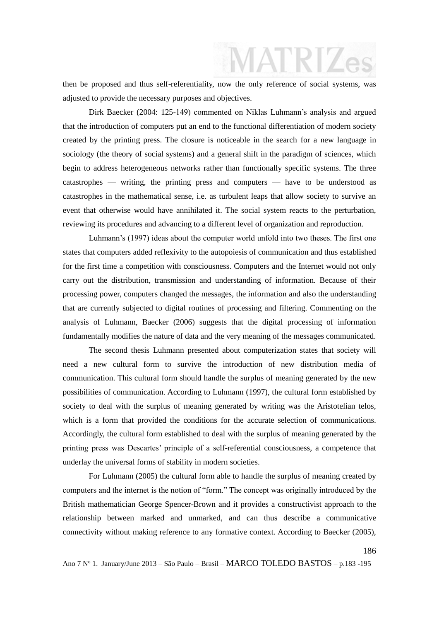then be proposed and thus self-referentiality, now the only reference of social systems, was adjusted to provide the necessary purposes and objectives.

Dirk Baecker (2004: 125-149) commented on Niklas Luhmann's analysis and argued that the introduction of computers put an end to the functional differentiation of modern society created by the printing press. The closure is noticeable in the search for a new language in sociology (the theory of social systems) and a general shift in the paradigm of sciences, which begin to address heterogeneous networks rather than functionally specific systems. The three catastrophes — writing, the printing press and computers — have to be understood as catastrophes in the mathematical sense, i.e. as turbulent leaps that allow society to survive an event that otherwise would have annihilated it. The social system reacts to the perturbation, reviewing its procedures and advancing to a different level of organization and reproduction.

Luhmann's (1997) ideas about the computer world unfold into two theses. The first one states that computers added reflexivity to the autopoiesis of communication and thus established for the first time a competition with consciousness. Computers and the Internet would not only carry out the distribution, transmission and understanding of information. Because of their processing power, computers changed the messages, the information and also the understanding that are currently subjected to digital routines of processing and filtering. Commenting on the analysis of Luhmann, Baecker (2006) suggests that the digital processing of information fundamentally modifies the nature of data and the very meaning of the messages communicated.

The second thesis Luhmann presented about computerization states that society will need a new cultural form to survive the introduction of new distribution media of communication. This cultural form should handle the surplus of meaning generated by the new possibilities of communication. According to Luhmann (1997), the cultural form established by society to deal with the surplus of meaning generated by writing was the Aristotelian telos, which is a form that provided the conditions for the accurate selection of communications. Accordingly, the cultural form established to deal with the surplus of meaning generated by the printing press was Descartes' principle of a self-referential consciousness, a competence that underlay the universal forms of stability in modern societies.

For Luhmann (2005) the cultural form able to handle the surplus of meaning created by computers and the internet is the notion of "form." The concept was originally introduced by the British mathematician George Spencer-Brown and it provides a constructivist approach to the relationship between marked and unmarked, and can thus describe a communicative connectivity without making reference to any formative context. According to Baecker (2005),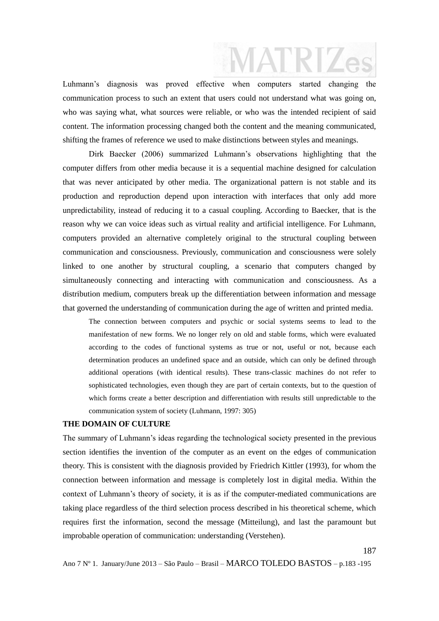Luhmann's diagnosis was proved effective when computers started changing the communication process to such an extent that users could not understand what was going on, who was saying what, what sources were reliable, or who was the intended recipient of said content. The information processing changed both the content and the meaning communicated, shifting the frames of reference we used to make distinctions between styles and meanings.

Dirk Baecker (2006) summarized Luhmann's observations highlighting that the computer differs from other media because it is a sequential machine designed for calculation that was never anticipated by other media. The organizational pattern is not stable and its production and reproduction depend upon interaction with interfaces that only add more unpredictability, instead of reducing it to a casual coupling. According to Baecker, that is the reason why we can voice ideas such as virtual reality and artificial intelligence. For Luhmann, computers provided an alternative completely original to the structural coupling between communication and consciousness. Previously, communication and consciousness were solely linked to one another by structural coupling, a scenario that computers changed by simultaneously connecting and interacting with communication and consciousness. As a distribution medium, computers break up the differentiation between information and message that governed the understanding of communication during the age of written and printed media.

The connection between computers and psychic or social systems seems to lead to the manifestation of new forms. We no longer rely on old and stable forms, which were evaluated according to the codes of functional systems as true or not, useful or not, because each determination produces an undefined space and an outside, which can only be defined through additional operations (with identical results). These trans-classic machines do not refer to sophisticated technologies, even though they are part of certain contexts, but to the question of which forms create a better description and differentiation with results still unpredictable to the communication system of society (Luhmann, 1997: 305)

#### **THE DOMAIN OF CULTURE**

The summary of Luhmann's ideas regarding the technological society presented in the previous section identifies the invention of the computer as an event on the edges of communication theory. This is consistent with the diagnosis provided by Friedrich Kittler (1993), for whom the connection between information and message is completely lost in digital media. Within the context of Luhmann's theory of society, it is as if the computer-mediated communications are taking place regardless of the third selection process described in his theoretical scheme, which requires first the information, second the message (Mitteilung), and last the paramount but improbable operation of communication: understanding (Verstehen).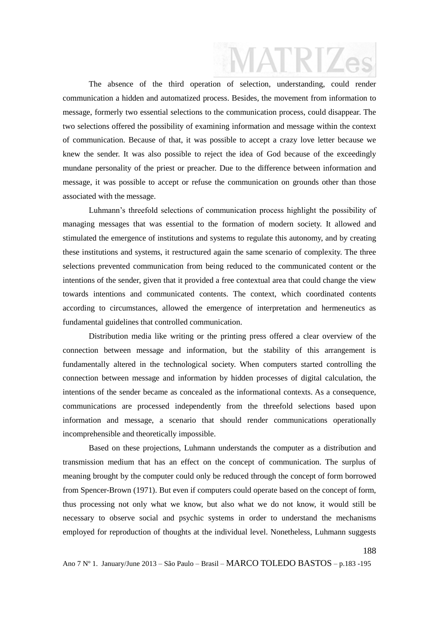The absence of the third operation of selection, understanding, could render communication a hidden and automatized process. Besides, the movement from information to message, formerly two essential selections to the communication process, could disappear. The two selections offered the possibility of examining information and message within the context of communication. Because of that, it was possible to accept a crazy love letter because we knew the sender. It was also possible to reject the idea of God because of the exceedingly mundane personality of the priest or preacher. Due to the difference between information and message, it was possible to accept or refuse the communication on grounds other than those associated with the message.

Luhmann's threefold selections of communication process highlight the possibility of managing messages that was essential to the formation of modern society. It allowed and stimulated the emergence of institutions and systems to regulate this autonomy, and by creating these institutions and systems, it restructured again the same scenario of complexity. The three selections prevented communication from being reduced to the communicated content or the intentions of the sender, given that it provided a free contextual area that could change the view towards intentions and communicated contents. The context, which coordinated contents according to circumstances, allowed the emergence of interpretation and hermeneutics as fundamental guidelines that controlled communication.

Distribution media like writing or the printing press offered a clear overview of the connection between message and information, but the stability of this arrangement is fundamentally altered in the technological society. When computers started controlling the connection between message and information by hidden processes of digital calculation, the intentions of the sender became as concealed as the informational contexts. As a consequence, communications are processed independently from the threefold selections based upon information and message, a scenario that should render communications operationally incomprehensible and theoretically impossible.

Based on these projections, Luhmann understands the computer as a distribution and transmission medium that has an effect on the concept of communication. The surplus of meaning brought by the computer could only be reduced through the concept of form borrowed from Spencer-Brown (1971). But even if computers could operate based on the concept of form, thus processing not only what we know, but also what we do not know, it would still be necessary to observe social and psychic systems in order to understand the mechanisms employed for reproduction of thoughts at the individual level. Nonetheless, Luhmann suggests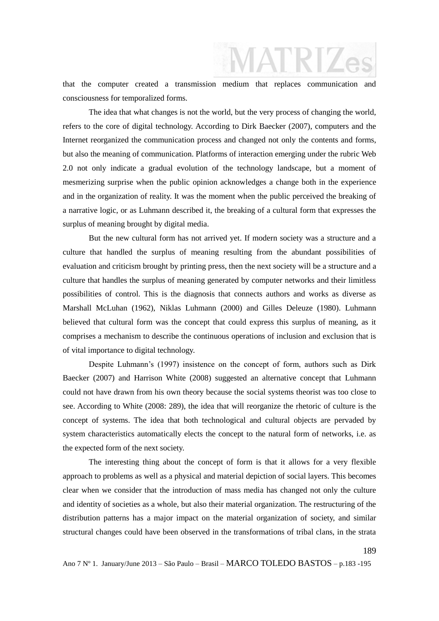that the computer created a transmission medium that replaces communication and consciousness for temporalized forms.

The idea that what changes is not the world, but the very process of changing the world, refers to the core of digital technology. According to Dirk Baecker (2007), computers and the Internet reorganized the communication process and changed not only the contents and forms, but also the meaning of communication. Platforms of interaction emerging under the rubric Web 2.0 not only indicate a gradual evolution of the technology landscape, but a moment of mesmerizing surprise when the public opinion acknowledges a change both in the experience and in the organization of reality. It was the moment when the public perceived the breaking of a narrative logic, or as Luhmann described it, the breaking of a cultural form that expresses the surplus of meaning brought by digital media.

But the new cultural form has not arrived yet. If modern society was a structure and a culture that handled the surplus of meaning resulting from the abundant possibilities of evaluation and criticism brought by printing press, then the next society will be a structure and a culture that handles the surplus of meaning generated by computer networks and their limitless possibilities of control. This is the diagnosis that connects authors and works as diverse as Marshall McLuhan (1962), Niklas Luhmann (2000) and Gilles Deleuze (1980). Luhmann believed that cultural form was the concept that could express this surplus of meaning, as it comprises a mechanism to describe the continuous operations of inclusion and exclusion that is of vital importance to digital technology.

Despite Luhmann's (1997) insistence on the concept of form, authors such as Dirk Baecker (2007) and Harrison White (2008) suggested an alternative concept that Luhmann could not have drawn from his own theory because the social systems theorist was too close to see. According to White (2008: 289), the idea that will reorganize the rhetoric of culture is the concept of systems. The idea that both technological and cultural objects are pervaded by system characteristics automatically elects the concept to the natural form of networks, i.e. as the expected form of the next society.

The interesting thing about the concept of form is that it allows for a very flexible approach to problems as well as a physical and material depiction of social layers. This becomes clear when we consider that the introduction of mass media has changed not only the culture and identity of societies as a whole, but also their material organization. The restructuring of the distribution patterns has a major impact on the material organization of society, and similar structural changes could have been observed in the transformations of tribal clans, in the strata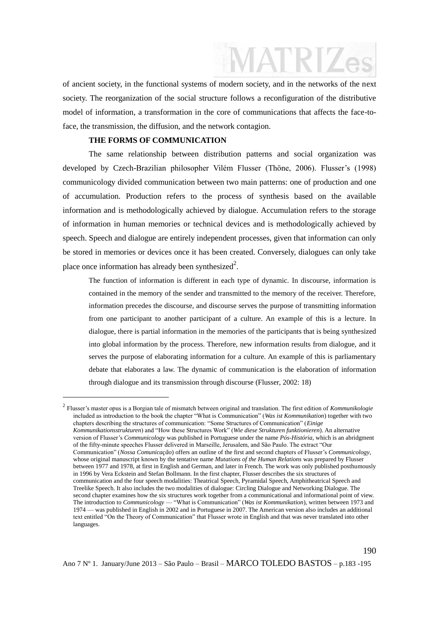of ancient society, in the functional systems of modern society, and in the networks of the next society. The reorganization of the social structure follows a reconfiguration of the distributive model of information, a transformation in the core of communications that affects the face-toface, the transmission, the diffusion, and the network contagion.

#### **THE FORMS OF COMMUNICATION**

1

The same relationship between distribution patterns and social organization was developed by Czech-Brazilian philosopher Vilém Flusser (Thöne, 2006). Flusser's (1998) communicology divided communication between two main patterns: one of production and one of accumulation. Production refers to the process of synthesis based on the available information and is methodologically achieved by dialogue. Accumulation refers to the storage of information in human memories or technical devices and is methodologically achieved by speech. Speech and dialogue are entirely independent processes, given that information can only be stored in memories or devices once it has been created. Conversely, dialogues can only take place once information has already been synthesized<sup>2</sup>.

The function of information is different in each type of dynamic. In discourse, information is contained in the memory of the sender and transmitted to the memory of the receiver. Therefore, information precedes the discourse, and discourse serves the purpose of transmitting information from one participant to another participant of a culture. An example of this is a lecture. In dialogue, there is partial information in the memories of the participants that is being synthesized into global information by the process. Therefore, new information results from dialogue, and it serves the purpose of elaborating information for a culture. An example of this is parliamentary debate that elaborates a law. The dynamic of communication is the elaboration of information through dialogue and its transmission through discourse (Flusser, 2002: 18)

190

<sup>2</sup> Flusser's master opus is a Borgian tale of mismatch between original and translation. The first edition of *Kommunikologie* included as introduction to the book the chapter "What is Communication" (*Was ist Kommunikation*) together with two chapters describing the structures of communication: "Some Structures of Communication" (*Einige Kommunikationsstrukturen*) and "How these Structures Work" (*Wie diese Strukturen funktionieren*). An alternative version of Flusser's *Communicology* was published in Portuguese under the name *Pós-História*, which is an abridgment of the fifty-minute speeches Flusser delivered in Marseille, Jerusalem, and São Paulo. The extract "Our Communication‖ (*Nossa Comunicação*) offers an outline of the first and second chapters of Flusser's *Communicology*, whose original manuscript known by the tentative name *Mutations of the Human Relations* was prepared by Flusser between 1977 and 1978, at first in English and German, and later in French. The work was only published posthumously in 1996 by Vera Eckstein and Stefan Bollmann. In the first chapter, Flusser describes the six structures of communication and the four speech modalities: Theatrical Speech, Pyramidal Speech, Amphitheatrical Speech and Treelike Speech. It also includes the two modalities of dialogue: Circling Dialogue and Networking Dialogue. The second chapter examines how the six structures work together from a communicational and informational point of view. The introduction to *Communicology* — "What is Communication" (*Was ist Kommunikation*), written between 1973 and 1974 — was published in English in 2002 and in Portuguese in 2007. The American version also includes an additional text entitled "On the Theory of Communication" that Flusser wrote in English and that was never translated into other languages.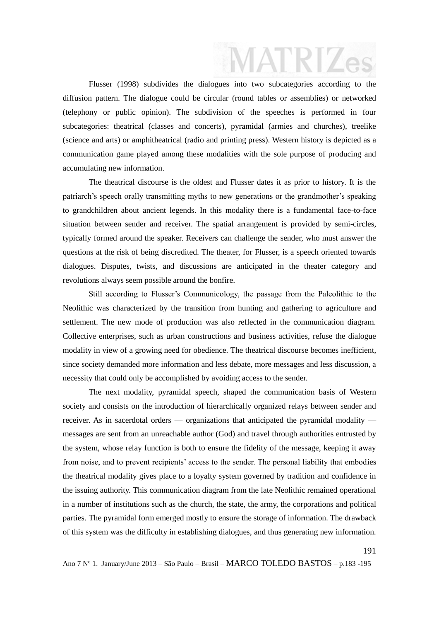Flusser (1998) subdivides the dialogues into two subcategories according to the diffusion pattern. The dialogue could be circular (round tables or assemblies) or networked (telephony or public opinion). The subdivision of the speeches is performed in four subcategories: theatrical (classes and concerts), pyramidal (armies and churches), treelike (science and arts) or amphitheatrical (radio and printing press). Western history is depicted as a communication game played among these modalities with the sole purpose of producing and accumulating new information.

The theatrical discourse is the oldest and Flusser dates it as prior to history. It is the patriarch's speech orally transmitting myths to new generations or the grandmother's speaking to grandchildren about ancient legends. In this modality there is a fundamental face-to-face situation between sender and receiver. The spatial arrangement is provided by semi-circles, typically formed around the speaker. Receivers can challenge the sender, who must answer the questions at the risk of being discredited. The theater, for Flusser, is a speech oriented towards dialogues. Disputes, twists, and discussions are anticipated in the theater category and revolutions always seem possible around the bonfire.

Still according to Flusser's Communicology, the passage from the Paleolithic to the Neolithic was characterized by the transition from hunting and gathering to agriculture and settlement. The new mode of production was also reflected in the communication diagram. Collective enterprises, such as urban constructions and business activities, refuse the dialogue modality in view of a growing need for obedience. The theatrical discourse becomes inefficient, since society demanded more information and less debate, more messages and less discussion, a necessity that could only be accomplished by avoiding access to the sender.

The next modality, pyramidal speech, shaped the communication basis of Western society and consists on the introduction of hierarchically organized relays between sender and receiver. As in sacerdotal orders — organizations that anticipated the pyramidal modality messages are sent from an unreachable author (God) and travel through authorities entrusted by the system, whose relay function is both to ensure the fidelity of the message, keeping it away from noise, and to prevent recipients' access to the sender. The personal liability that embodies the theatrical modality gives place to a loyalty system governed by tradition and confidence in the issuing authority. This communication diagram from the late Neolithic remained operational in a number of institutions such as the church, the state, the army, the corporations and political parties. The pyramidal form emerged mostly to ensure the storage of information. The drawback of this system was the difficulty in establishing dialogues, and thus generating new information.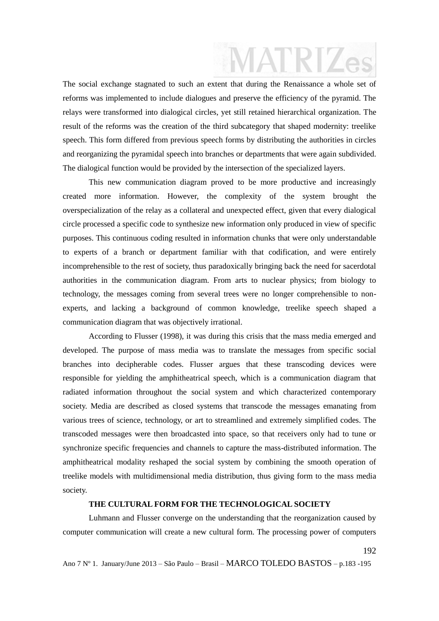The social exchange stagnated to such an extent that during the Renaissance a whole set of reforms was implemented to include dialogues and preserve the efficiency of the pyramid. The relays were transformed into dialogical circles, yet still retained hierarchical organization. The result of the reforms was the creation of the third subcategory that shaped modernity: treelike speech. This form differed from previous speech forms by distributing the authorities in circles and reorganizing the pyramidal speech into branches or departments that were again subdivided. The dialogical function would be provided by the intersection of the specialized layers.

This new communication diagram proved to be more productive and increasingly created more information. However, the complexity of the system brought the overspecialization of the relay as a collateral and unexpected effect, given that every dialogical circle processed a specific code to synthesize new information only produced in view of specific purposes. This continuous coding resulted in information chunks that were only understandable to experts of a branch or department familiar with that codification, and were entirely incomprehensible to the rest of society, thus paradoxically bringing back the need for sacerdotal authorities in the communication diagram. From arts to nuclear physics; from biology to technology, the messages coming from several trees were no longer comprehensible to nonexperts, and lacking a background of common knowledge, treelike speech shaped a communication diagram that was objectively irrational.

According to Flusser (1998), it was during this crisis that the mass media emerged and developed. The purpose of mass media was to translate the messages from specific social branches into decipherable codes. Flusser argues that these transcoding devices were responsible for yielding the amphitheatrical speech, which is a communication diagram that radiated information throughout the social system and which characterized contemporary society. Media are described as closed systems that transcode the messages emanating from various trees of science, technology, or art to streamlined and extremely simplified codes. The transcoded messages were then broadcasted into space, so that receivers only had to tune or synchronize specific frequencies and channels to capture the mass-distributed information. The amphitheatrical modality reshaped the social system by combining the smooth operation of treelike models with multidimensional media distribution, thus giving form to the mass media society.

#### **THE CULTURAL FORM FOR THE TECHNOLOGICAL SOCIETY**

Luhmann and Flusser converge on the understanding that the reorganization caused by computer communication will create a new cultural form. The processing power of computers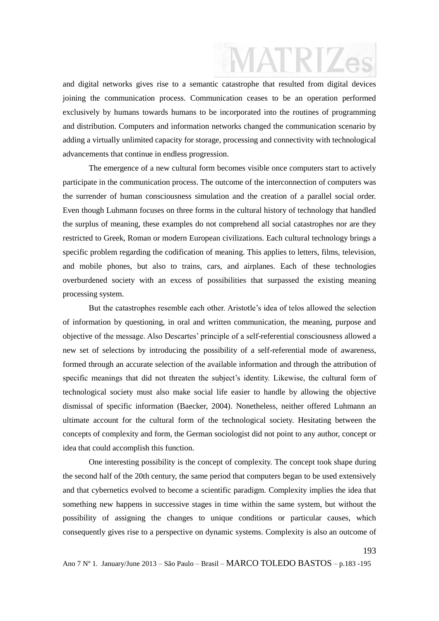and digital networks gives rise to a semantic catastrophe that resulted from digital devices joining the communication process. Communication ceases to be an operation performed exclusively by humans towards humans to be incorporated into the routines of programming and distribution. Computers and information networks changed the communication scenario by adding a virtually unlimited capacity for storage, processing and connectivity with technological advancements that continue in endless progression.

The emergence of a new cultural form becomes visible once computers start to actively participate in the communication process. The outcome of the interconnection of computers was the surrender of human consciousness simulation and the creation of a parallel social order. Even though Luhmann focuses on three forms in the cultural history of technology that handled the surplus of meaning, these examples do not comprehend all social catastrophes nor are they restricted to Greek, Roman or modern European civilizations. Each cultural technology brings a specific problem regarding the codification of meaning. This applies to letters, films, television, and mobile phones, but also to trains, cars, and airplanes. Each of these technologies overburdened society with an excess of possibilities that surpassed the existing meaning processing system.

But the catastrophes resemble each other. Aristotle's idea of telos allowed the selection of information by questioning, in oral and written communication, the meaning, purpose and objective of the message. Also Descartes' principle of a self-referential consciousness allowed a new set of selections by introducing the possibility of a self-referential mode of awareness, formed through an accurate selection of the available information and through the attribution of specific meanings that did not threaten the subject's identity. Likewise, the cultural form of technological society must also make social life easier to handle by allowing the objective dismissal of specific information (Baecker, 2004). Nonetheless, neither offered Luhmann an ultimate account for the cultural form of the technological society. Hesitating between the concepts of complexity and form, the German sociologist did not point to any author, concept or idea that could accomplish this function.

One interesting possibility is the concept of complexity. The concept took shape during the second half of the 20th century, the same period that computers began to be used extensively and that cybernetics evolved to become a scientific paradigm. Complexity implies the idea that something new happens in successive stages in time within the same system, but without the possibility of assigning the changes to unique conditions or particular causes, which consequently gives rise to a perspective on dynamic systems. Complexity is also an outcome of

193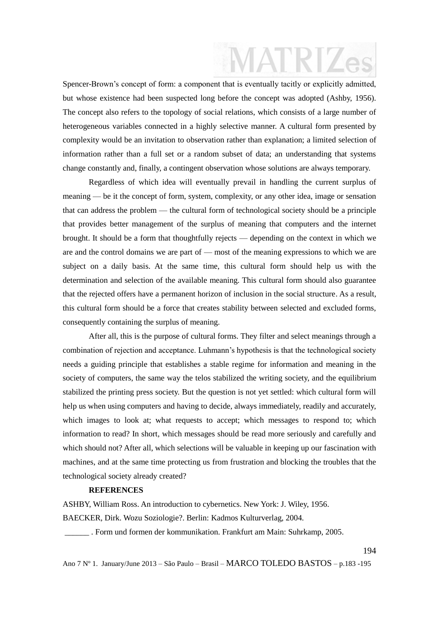Spencer-Brown's concept of form: a component that is eventually tacitly or explicitly admitted, but whose existence had been suspected long before the concept was adopted (Ashby, 1956). The concept also refers to the topology of social relations, which consists of a large number of heterogeneous variables connected in a highly selective manner. A cultural form presented by complexity would be an invitation to observation rather than explanation; a limited selection of information rather than a full set or a random subset of data; an understanding that systems change constantly and, finally, a contingent observation whose solutions are always temporary.

Regardless of which idea will eventually prevail in handling the current surplus of meaning — be it the concept of form, system, complexity, or any other idea, image or sensation that can address the problem — the cultural form of technological society should be a principle that provides better management of the surplus of meaning that computers and the internet brought. It should be a form that thoughtfully rejects — depending on the context in which we are and the control domains we are part of — most of the meaning expressions to which we are subject on a daily basis. At the same time, this cultural form should help us with the determination and selection of the available meaning. This cultural form should also guarantee that the rejected offers have a permanent horizon of inclusion in the social structure. As a result, this cultural form should be a force that creates stability between selected and excluded forms, consequently containing the surplus of meaning.

After all, this is the purpose of cultural forms. They filter and select meanings through a combination of rejection and acceptance. Luhmann's hypothesis is that the technological society needs a guiding principle that establishes a stable regime for information and meaning in the society of computers, the same way the telos stabilized the writing society, and the equilibrium stabilized the printing press society. But the question is not yet settled: which cultural form will help us when using computers and having to decide, always immediately, readily and accurately, which images to look at; what requests to accept; which messages to respond to; which information to read? In short, which messages should be read more seriously and carefully and which should not? After all, which selections will be valuable in keeping up our fascination with machines, and at the same time protecting us from frustration and blocking the troubles that the technological society already created?

#### **REFERENCES**

ASHBY, William Ross. An introduction to cybernetics. New York: J. Wiley, 1956. BAECKER, Dirk. Wozu Soziologie?. Berlin: Kadmos Kulturverlag, 2004.

\_\_\_\_\_\_ . Form und formen der kommunikation. Frankfurt am Main: Suhrkamp, 2005.